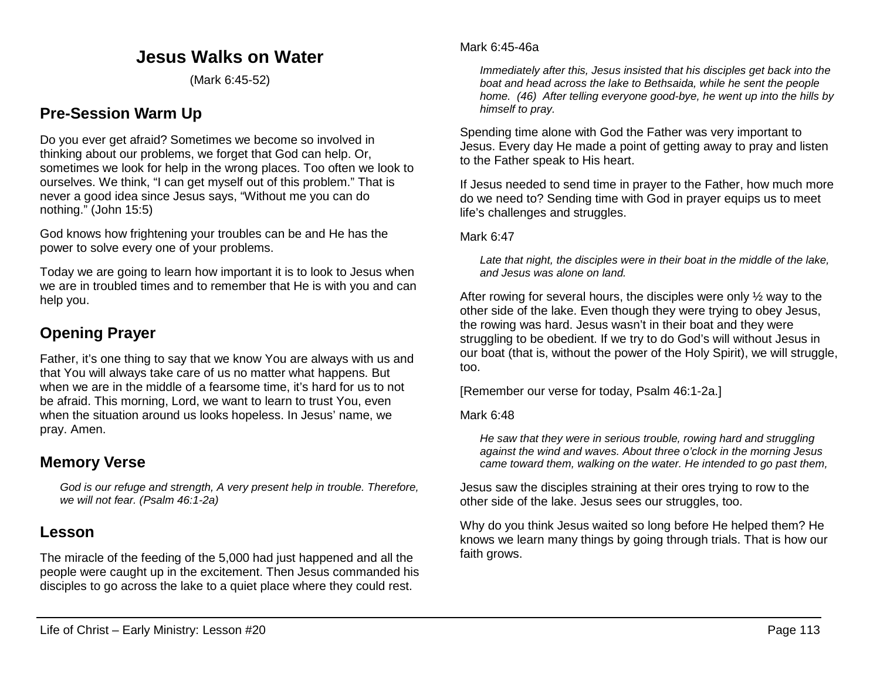# **Jesus Walks on Water**

(Mark 6:45-52)

# **Pre-Session Warm Up**

Do you ever get afraid? Sometimes we become so involved in thinking about our problems, we forget that God can help. Or, sometimes we look for help in the wrong places. Too often we look to ourselves. We think, "I can get myself out of this problem." That is never a good idea since Jesus says, "Without me you can do nothing." (John 15:5)

God knows how frightening your troubles can be and He has the power to solve every one of your problems.

Today we are going to learn how important it is to look to Jesus when we are in troubled times and to remember that He is with you and can help you.

# **Opening Prayer**

Father, it's one thing to say that we know You are always with us and that You will always take care of us no matter what happens. But when we are in the middle of a fearsome time, it's hard for us to not be afraid. This morning, Lord, we want to learn to trust You, even when the situation around us looks hopeless. In Jesus' name, we pray. Amen.

# **Memory Verse**

*God is our refuge and strength, A very present help in trouble. Therefore, we will not fear. (Psalm 46:1-2a)*

# **Lesson**

The miracle of the feeding of the 5,000 had just happened and all the people were caught up in the excitement. Then Jesus commanded his disciples to go across the lake to a quiet place where they could rest.

*Immediately after this, Jesus insisted that his disciples get back into the boat and head across the lake to Bethsaida, while he sent the people home. (46) After telling everyone good-bye, he went up into the hills by himself to pray.*

Spending time alone with God the Father was very important to Jesus. Every day He made a point of getting away to pray and listen to the Father speak to His heart.

If Jesus needed to send time in prayer to the Father, how much more do we need to? Sending time with God in prayer equips us to meet life's challenges and struggles.

Mark 6:47

*Late that night, the disciples were in their boat in the middle of the lake, and Jesus was alone on land.*

After rowing for several hours, the disciples were only  $\frac{1}{2}$  way to the other side of the lake. Even though they were trying to obey Jesus, the rowing was hard. Jesus wasn't in their boat and they were struggling to be obedient. If we try to do God's will without Jesus in our boat (that is, without the power of the Holy Spirit), we will struggle, too.

[Remember our verse for today, Psalm 46:1-2a.]

Mark 6:48

*He saw that they were in serious trouble, rowing hard and struggling against the wind and waves. About three o'clock in the morning Jesus came toward them, walking on the water. He intended to go past them,*

Jesus saw the disciples straining at their ores trying to row to the other side of the lake. Jesus sees our struggles, too.

Why do you think Jesus waited so long before He helped them? He knows we learn many things by going through trials. That is how our faith grows.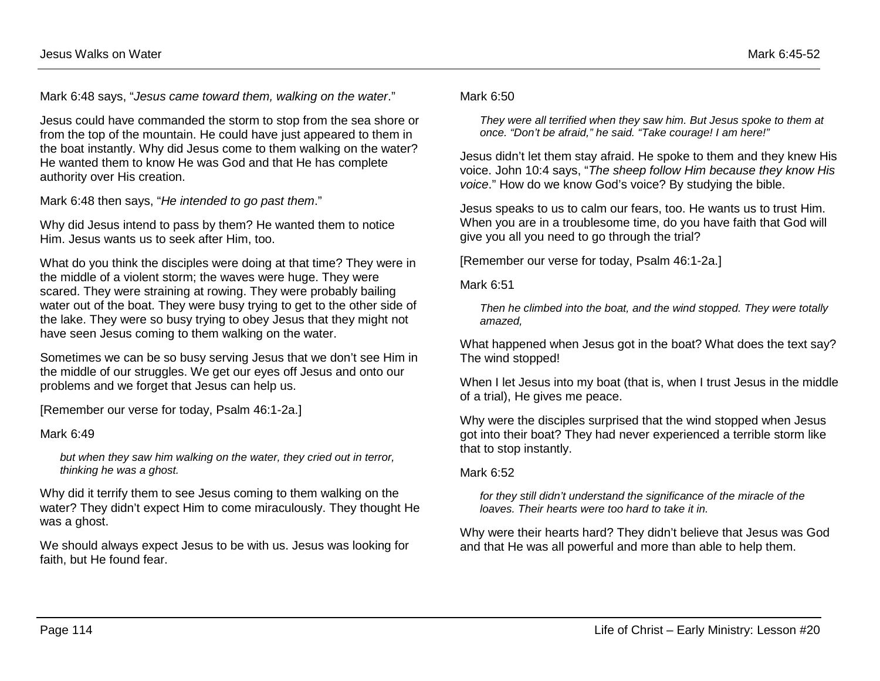Mark 6:48 says, "*Jesus came toward them, walking on the water*."

Jesus could have commanded the storm to stop from the sea shore or from the top of the mountain. He could have just appeared to them in the boat instantly. Why did Jesus come to them walking on the water? He wanted them to know He was God and that He has complete authority over His creation.

Mark 6:48 then says, "*He intended to go past them*."

Why did Jesus intend to pass by them? He wanted them to notice Him. Jesus wants us to seek after Him, too.

What do you think the disciples were doing at that time? They were in the middle of a violent storm; the waves were huge. They were scared. They were straining at rowing. They were probably bailing water out of the boat. They were busy trying to get to the other side of the lake. They were so busy trying to obey Jesus that they might not have seen Jesus coming to them walking on the water.

Sometimes we can be so busy serving Jesus that we don't see Him in the middle of our struggles. We get our eyes off Jesus and onto our problems and we forget that Jesus can help us.

[Remember our verse for today, Psalm 46:1-2a.]

Mark 6:49

*but when they saw him walking on the water, they cried out in terror, thinking he was a ghost.*

Why did it terrify them to see Jesus coming to them walking on the water? They didn't expect Him to come miraculously. They thought He was a ghost.

We should always expect Jesus to be with us. Jesus was looking for faith, but He found fear.

Mark 6:50

*They were all terrified when they saw him. But Jesus spoke to them at once. "Don't be afraid," he said. "Take courage! I am here!"*

Jesus didn't let them stay afraid. He spoke to them and they knew His voice. John 10:4 says, "*The sheep follow Him because they know His voice*." How do we know God's voice? By studying the bible.

Jesus speaks to us to calm our fears, too. He wants us to trust Him. When you are in a troublesome time, do you have faith that God will give you all you need to go through the trial?

[Remember our verse for today, Psalm 46:1-2a.]

Mark 6:51

*Then he climbed into the boat, and the wind stopped. They were totally amazed,*

What happened when Jesus got in the boat? What does the text say? The wind stopped!

When I let Jesus into my boat (that is, when I trust Jesus in the middle of a trial), He gives me peace.

Why were the disciples surprised that the wind stopped when Jesus got into their boat? They had never experienced a terrible storm like that to stop instantly.

Mark 6:52

*for they still didn't understand the significance of the miracle of the loaves. Their hearts were too hard to take it in.*

Why were their hearts hard? They didn't believe that Jesus was God and that He was all powerful and more than able to help them.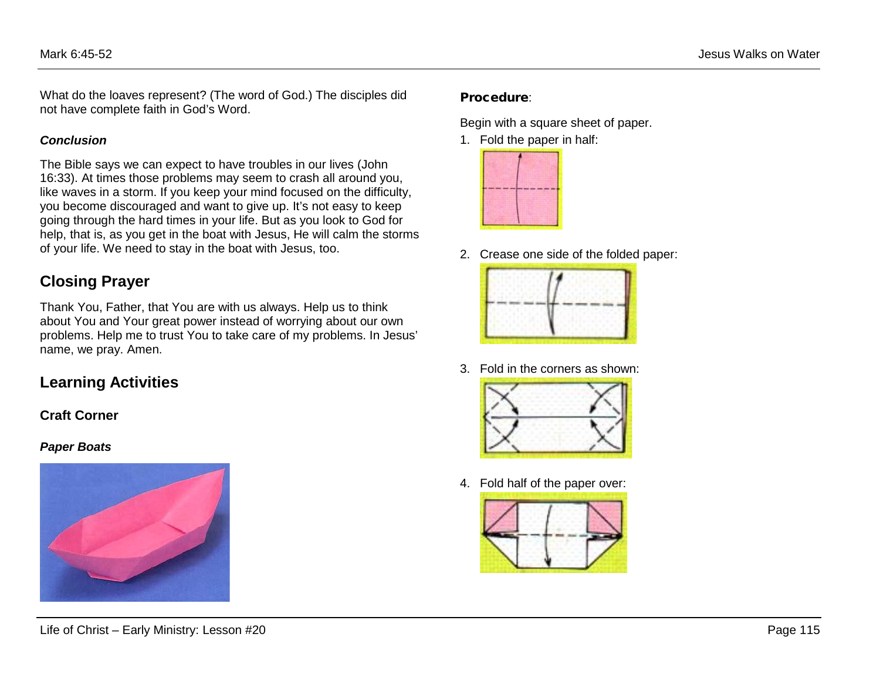What do the loaves represent? (The word of God.) The disciples did not have complete faith in God's Word.

#### *Conclusion*

The Bible says we can expect to have troubles in our lives (John 16:33). At times those problems may seem to crash all around you, like waves in a storm. If you keep your mind focused on the difficulty, you become discouraged and want to give up. It's not easy to keep going through the hard times in your life. But as you look to God for help, that is, as you get in the boat with Jesus, He will calm the storms of your life. We need to stay in the boat with Jesus, too.

## **Closing Prayer**

Thank You, Father, that You are with us always. Help us to think about You and Your great power instead of worrying about our own problems. Help me to trust You to take care of my problems. In Jesus' name, we pray. Amen.

# **Learning Activities**

### **Craft Corner**

#### *Paper Boats*



### Procedure:

Begin with a square sheet of paper.

1. Fold the paper in half:



2. Crease one side of the folded paper:



3. Fold in the corners as shown:



4. Fold half of the paper over:

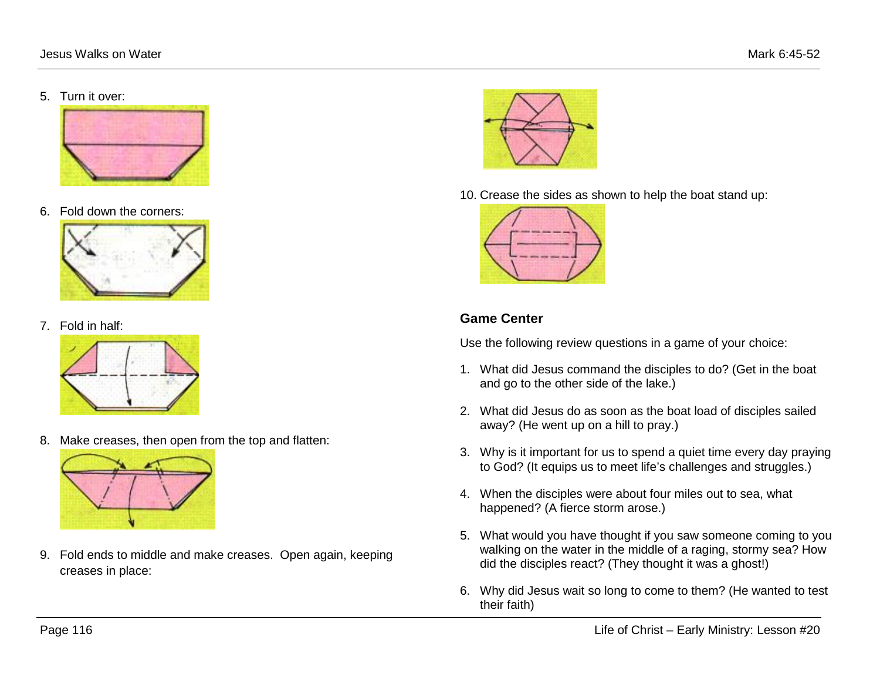5. Turn it over:



6. Fold down the corners:



7. Fold in half:



8. Make creases, then open from the top and flatten:



9. Fold ends to middle and make creases. Open again, keeping creases in place:



10. Crease the sides as shown to help the boat stand up:



## **Game Center**

Use the following review questions in a game of your choice:

- 1. What did Jesus command the disciples to do? (Get in the boat and go to the other side of the lake.)
- 2. What did Jesus do as soon as the boat load of disciples sailed away? (He went up on a hill to pray.)
- 3. Why is it important for us to spend a quiet time every day praying to God? (It equips us to meet life's challenges and struggles.)
- 4. When the disciples were about four miles out to sea, what happened? (A fierce storm arose.)
- 5. What would you have thought if you saw someone coming to you walking on the water in the middle of a raging, stormy sea? How did the disciples react? (They thought it was a ghost!)
- 6. Why did Jesus wait so long to come to them? (He wanted to test their faith)